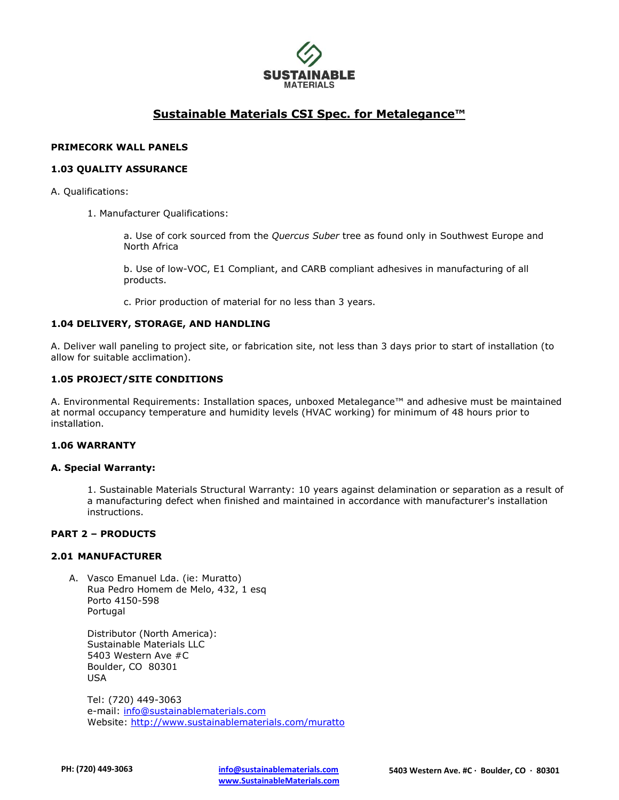

# **Sustainable Materials CSI Spec. for Metalegance™**

### **PRIMECORK WALL PANELS**

### **1.03 QUALITY ASSURANCE**

- A. Qualifications:
	- 1. Manufacturer Qualifications:

a. Use of cork sourced from the *Quercus Suber* tree as found only in Southwest Europe and North Africa

b. Use of low-VOC, E1 Compliant, and CARB compliant adhesives in manufacturing of all products.

c. Prior production of material for no less than 3 years.

#### **1.04 DELIVERY, STORAGE, AND HANDLING**

A. Deliver wall paneling to project site, or fabrication site, not less than 3 days prior to start of installation (to allow for suitable acclimation).

### **1.05 PROJECT/SITE CONDITIONS**

A. Environmental Requirements: Installation spaces, unboxed Metalegance™ and adhesive must be maintained at normal occupancy temperature and humidity levels (HVAC working) for minimum of 48 hours prior to installation.

#### **1.06 WARRANTY**

#### **A. Special Warranty:**

1. Sustainable Materials Structural Warranty: 10 years against delamination or separation as a result of a manufacturing defect when finished and maintained in accordance with manufacturer's installation instructions.

### **PART 2 – PRODUCTS**

# **2.01 MANUFACTURER**

A. Vasco Emanuel Lda. (ie: Muratto) Rua Pedro Homem de Melo, 432, 1 esq Porto 4150-598 Portugal

Distributor (North America): Sustainable Materials LLC 5403 Western Ave #C Boulder, CO 80301 USA

Tel: (720) 449-3063 e-mail: [info@sustainablematerials.com](mailto:info@sustainablematerials.com) Website:<http://www.sustainablematerials.com/muratto>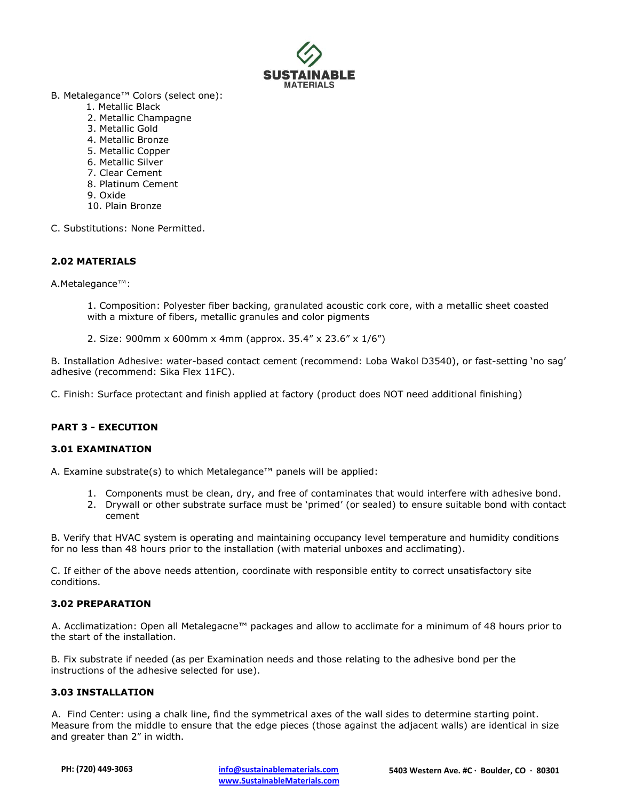

- B. Metalegance™ Colors (select one):
	- 1. Metallic Black
	- 2. Metallic Champagne
	- 3. Metallic Gold
	- 4. Metallic Bronze
	- 5. Metallic Copper
	- 6. Metallic Silver
	- 7. Clear Cement
	- 8. Platinum Cement
	- 9. Oxide
	- 10. Plain Bronze
- C. Substitutions: None Permitted.

# **2.02 MATERIALS**

A.Metalegance™:

1. Composition: Polyester fiber backing, granulated acoustic cork core, with a metallic sheet coasted with a mixture of fibers, metallic granules and color pigments

2. Size: 900mm x 600mm x 4mm (approx. 35.4" x 23.6" x 1/6")

B. Installation Adhesive: water-based contact cement (recommend: Loba Wakol D3540), or fast-setting 'no sag' adhesive (recommend: Sika Flex 11FC).

C. Finish: Surface protectant and finish applied at factory (product does NOT need additional finishing)

# **PART 3 - EXECUTION**

# **3.01 EXAMINATION**

A. Examine substrate(s) to which Metalegance™ panels will be applied:

- 1. Components must be clean, dry, and free of contaminates that would interfere with adhesive bond.
- 2. Drywall or other substrate surface must be 'primed' (or sealed) to ensure suitable bond with contact cement

B. Verify that HVAC system is operating and maintaining occupancy level temperature and humidity conditions for no less than 48 hours prior to the installation (with material unboxes and acclimating).

C. If either of the above needs attention, coordinate with responsible entity to correct unsatisfactory site conditions.

# **3.02 PREPARATION**

A. Acclimatization: Open all Metalegacne™ packages and allow to acclimate for a minimum of 48 hours prior to the start of the installation.

B. Fix substrate if needed (as per Examination needs and those relating to the adhesive bond per the instructions of the adhesive selected for use).

# **3.03 INSTALLATION**

A. Find Center: using a chalk line, find the symmetrical axes of the wall sides to determine starting point. Measure from the middle to ensure that the edge pieces (those against the adjacent walls) are identical in size and greater than 2" in width.